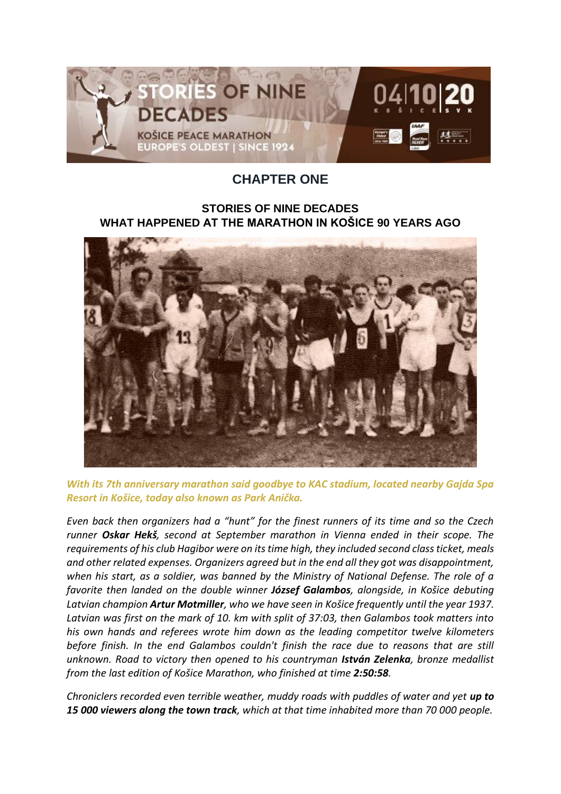

## **CHAPTER ONE**

## **STORIES OF NINE DECADES WHAT HAPPENED AT THE MARATHON IN KOŠICE 90 YEARS AGO**



*With its 7th anniversary marathon said goodbye to KAC stadium, located nearby Gajda Spa Resort in Košice, today also known as Park Anička.*

*Even back then organizers had a "hunt" for the finest runners of its time and so the Czech runner Oskar Hekš, second at September marathon in Vienna ended in their scope. The requirements of his club Hagibor were on its time high, they included second class ticket, meals and other related expenses. Organizers agreed but in the end all they got was disappointment, when his start, as a soldier, was banned by the Ministry of National Defense. The role of a favorite then landed on the double winner József Galambos, alongside, in Košice debuting Latvian champion Artur Motmiller, who we have seen in Košice frequently until the year 1937. Latvian was first on the mark of 10. km with split of 37:03, then Galambos took matters into his own hands and referees wrote him down as the leading competitor twelve kilometers before finish. In the end Galambos couldn't finish the race due to reasons that are still unknown. Road to victory then opened to his countryman István Zelenka, bronze medallist from the last edition of Košice Marathon, who finished at time 2:50:58.*

*Chroniclers recorded even terrible weather, muddy roads with puddles of water and yet up to 15 000 viewers along the town track, which at that time inhabited more than 70 000 people.*